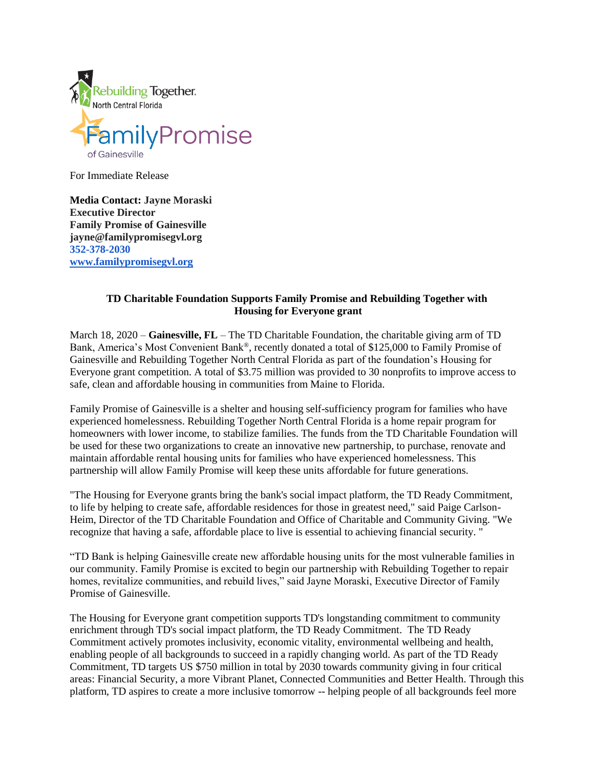

For Immediate Release

**Media Contact: Jayne Moraski Executive Director Family Promise of Gainesville jayne@familypromisegvl.org 352-378-2030 [www.familypromisegvl.org](https://clicktime.symantec.com/3CM1ifz9yr9vyXPL4v7SCas7Vc?u=http%3A%2F%2Fwww.familypromisegvl.org%2F)**

## **TD Charitable Foundation Supports Family Promise and Rebuilding Together with Housing for Everyone grant**

March 18, 2020 – **Gainesville, FL** – The TD Charitable Foundation, the charitable giving arm of TD Bank, America's Most Convenient Bank®, recently donated a total of \$125,000 to Family Promise of Gainesville and Rebuilding Together North Central Florida as part of the foundation's Housing for Everyone grant competition. A total of \$3.75 million was provided to 30 nonprofits to improve access to safe, clean and affordable housing in communities from Maine to Florida.

Family Promise of Gainesville is a shelter and housing self-sufficiency program for families who have experienced homelessness. Rebuilding Together North Central Florida is a home repair program for homeowners with lower income, to stabilize families. The funds from the TD Charitable Foundation will be used for these two organizations to create an innovative new partnership, to purchase, renovate and maintain affordable rental housing units for families who have experienced homelessness. This partnership will allow Family Promise will keep these units affordable for future generations.

"The Housing for Everyone grants bring the bank's social impact platform, the TD Ready Commitment, to life by helping to create safe, affordable residences for those in greatest need," said Paige Carlson-Heim, Director of the TD Charitable Foundation and Office of Charitable and Community Giving. "We recognize that having a safe, affordable place to live is essential to achieving financial security. "

"TD Bank is helping Gainesville create new affordable housing units for the most vulnerable families in our community. Family Promise is excited to begin our partnership with Rebuilding Together to repair homes, revitalize communities, and rebuild lives," said Jayne Moraski, Executive Director of Family Promise of Gainesville.

The Housing for Everyone grant competition supports TD's longstanding commitment to community enrichment through TD's social impact platform, the TD [Ready Commitment.](https://newscenter.td.com/us/en/news/2018/introducing-the-ready-commitment) The TD Ready Commitment actively promotes inclusivity, economic vitality, environmental wellbeing and health, enabling people of all backgrounds to succeed in a rapidly changing world. As part of the TD Ready Commitment, TD targets US \$750 million in total by 2030 towards community giving in four critical areas: Financial Security, a more Vibrant Planet, Connected Communities and Better Health. Through this platform, TD aspires to create a more inclusive tomorrow -- helping people of all backgrounds feel more